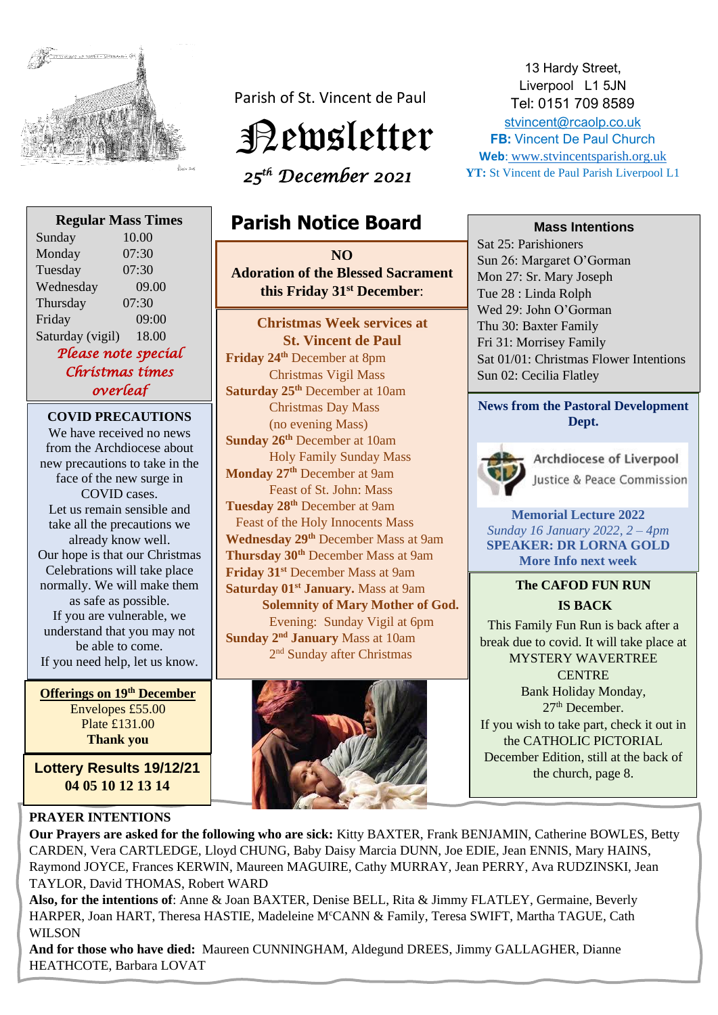

**Regular Mass Times**

Sunday 10.00

Parish of St. Vincent de Paul



 *25th December 2021* 

# **Parish Notice Board**

 **NO**   **this Friday 31st December**: **Adoration of the Blessed Sacrament**

**Christmas Week services at St. Vincent de Paul Friday 24th** December at 8pm Christmas Vigil Mass **Saturday 25th** December at 10am Christmas Day Mass (no evening Mass) **Sunday 26th** December at 10am Holy Family Sunday Mass **Monday 27th** December at 9am Feast of St. John: Mass **Tuesday 28th** December at 9am Feast of the Holy Innocents Mass **Wednesday 29th** December Mass at 9am **Thursday 30th** December Mass at 9am **Friday 31st** December Mass at 9am **Saturday 01st January.** Mass at 9am **Solemnity of Mary Mother of God.**  Evening: Sunday Vigil at 6pm **Sunday 2<sup>nd</sup> January** Mass at 10am 2 nd Sunday after Christmas

13 Hardy Street, Liverpool L1 5JN Tel: 0151 709 8589 [stvincent@rcaolp.co.uk](mailto:stvincent@rcaolp.co.uk) **FB:** Vincent De Paul Church **Web**: www.stvincentsparish.org.uk **YT:** St Vincent de Paul Parish Liverpool L1

#### **Mass Intentions**

Sat 25: Parishioners Sun 26: Margaret O'Gorman Mon 27: Sr. Mary Joseph Tue 28 : Linda Rolph Wed 29: John O'Gorman Thu 30: Baxter Family Fri 31: Morrisey Family Sat 01/01: Christmas Flower Intentions Sun 02: Cecilia Flatley

### **News from the Pastoral Development Dept.**



Archdiocese of Liverpool Justice & Peace Commission

**Memorial Lecture 2022** *Sunday 16 January 2022, 2 – 4pm* **SPEAKER: DR LORNA GOLD More Info next week** 

## **The CAFOD FUN RUN IS BACK**

This Family Fun Run is back after a break due to covid. It will take place at MYSTERY WAVERTREE **CENTRE** Bank Holiday Monday, 27th December. If you wish to take part, check it out in the CATHOLIC PICTORIAL December Edition, still at the back of the church, page 8.

Monday 07:30 Tuesday 07:30 Wednesday 09.00 Thursday 07:30 Friday 09:00 Saturday (vigil) 18.00 *Please note special Christmas times overleaf*  **COVID PRECAUTIONS** We have received no news from the Archdiocese about new precautions to take in the face of the new surge in COVID cases. Let us remain sensible and take all the precautions we already know well. Our hope is that our Christmas Celebrations will take place normally. We will make them as safe as possible.

If you are vulnerable, we understand that you may not be able to come. If you need help, let us know.

 **Offerings on 19th December** Envelopes £55.00 Plate £131.00 **Thank you**

**Lottery Results 19/12/21 04 05 10 12 13 14**

### **PRAYER INTENTIONS**

**Our Prayers are asked for the following who are sick:** Kitty BAXTER, Frank BENJAMIN, Catherine BOWLES, Betty CARDEN, Vera CARTLEDGE, Lloyd CHUNG, Baby Daisy Marcia DUNN, Joe EDIE, Jean ENNIS, Mary HAINS, Raymond JOYCE, Frances KERWIN, Maureen MAGUIRE, Cathy MURRAY, Jean PERRY, Ava RUDZINSKI, Jean TAYLOR, David THOMAS, Robert WARD

**Also, for the intentions of**: Anne & Joan BAXTER, Denise BELL, Rita & Jimmy FLATLEY, Germaine, Beverly HARPER, Joan HART, Theresa HASTIE, Madeleine M<sup>c</sup>CANN & Family, Teresa SWIFT, Martha TAGUE, Cath WILSON

**And for those who have died:** Maureen CUNNINGHAM, Aldegund DREES, Jimmy GALLAGHER, Dianne HEATHCOTE, Barbara LOVAT